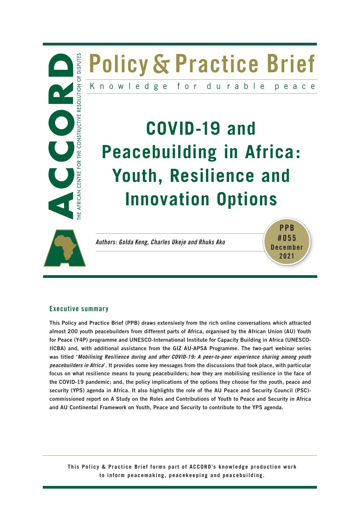

## **Executive summary**

**This Policy and Practice Brief (PPB) draws extensively from the rich online conversations which attracted almost 200 youth peacebuilders from different parts of Africa, organised by the African Union (AU) Youth for Peace (Y4P) programme and UNESCO-International Institute for Capacity Building in Africa (UNESCO-IICBA) and, with additional assistance from the GIZ AU-APSA Programme. The two-part webinar series was titled '***Mobilising Resilience during and after COVID-19: A peer-to-peer experience sharing among youth peacebuilders in Africa***'. It provides some key messages from the discussions that took place, with particular focus on what resilience means to young peacebuilders; how they are mobilising resilience in the face of the COVID-19 pandemic; and, the policy implications of the options they choose for the youth, peace and security (YPS) agenda in Africa. It also highlights the role of the AU Peace and Security Council (PSC) commissioned report on A Study on the Roles and Contributions of Youth to Peace and Security in Africa and AU Continental Framework on Youth, Peace and Security to contribute to the YPS agenda.** 

**This Policy & Practice Brief forms part of ACCORD's knowledge production work to inform peacemaking, peacekeeping and peacebuilding.**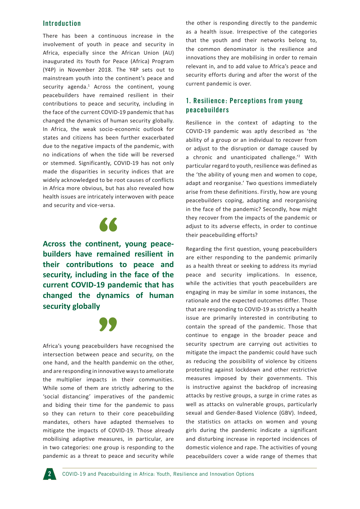## **Introduction**

There has been a continuous increase in the involvement of youth in peace and security in Africa, especially since the African Union (AU) inaugurated its Youth for Peace (Africa) Program (Y4P) in November 2018. The Y4P sets out to mainstream youth into the continent's peace and security agenda.<sup>1</sup> Across the continent, young peacebuilders have remained resilient in their contributions to peace and security, including in the face of the current COVID-19 pandemic that has changed the dynamics of human security globally. In Africa, the weak socio-economic outlook for states and citizens has been further exacerbated due to the negative impacts of the pandemic, with no indications of when the tide will be reversed or stemmed. Significantly, COVID-19 has not only made the disparities in security indices that are widely acknowledged to be root causes of conflicts in Africa more obvious, but has also revealed how health issues are intricately interwoven with peace and security and vice-versa.

# "

**Across the continent, young peace builders have remained resilient in their contributions to peace and security, including in the face of the current COVID-19 pandemic that has changed the dynamics of human security globally**



Africa's young peacebuilders have recognised the intersection between peace and security, on the one hand, and the health pandemic on the other, and are responding in innovative ways to ameliorate the multiplier impacts in their communities. While some of them are strictly adhering to the 'social distancing' imperatives of the pandemic and biding their time for the pandemic to pass so they can return to their core peacebuilding mandates, others have adapted themselves to mitigate the impacts of COVID-19. Those already mobilising adaptive measures, in particular, are in two categories: one group is responding to the pandemic as a threat to peace and security while the other is responding directly to the pandemic as a health issue. Irrespective of the categories that the youth and their networks belong to, the common denominator is the resilience and innovations they are mobilising in order to remain relevant in, and to add value to Africa's peace and security efforts during and after the worst of the current pandemic is over.

## **1. Resilience : Perceptions from young peacebuilders**

Resilience in the context of adapting to the COVID-19 pandemic was aptly described as 'the ability of a group or an individual to recover from or adjust to the disruption or damage caused by a chronic and unanticipated challenge.<sup>'2</sup> With particular regard to youth, resilience was defined as the 'the ability of young men and women to cope, adapt and reorganise.' Two questions immediately arise from these definitions. Firstly, how are young peacebuilders coping, adapting and reorganising in the face of the pandemic? Secondly, how might they recover from the impacts of the pandemic or adjust to its adverse effects, in order to continue their peacebuilding efforts?

Regarding the first question, young peacebuilders are either responding to the pandemic primarily as a health threat or seeking to address its myriad peace and security implications. In essence, while the activities that youth peacebuilders are engaging in may be similar in some instances, the rationale and the expected outcomes differ. Those that are responding to COVID-19 as strictly a health issue are primarily interested in contributing to contain the spread of the pandemic. Those that continue to engage in the broader peace and security spectrum are carrying out activities to mitigate the impact the pandemic could have such as reducing the possibility of violence by citizens protesting against lockdown and other restrictive measures imposed by their governments. This is instructive against the backdrop of increasing attacks by restive groups, a surge in crime rates as well as attacks on vulnerable groups, particularly sexual and Gender-Based Violence (GBV). Indeed, the statistics on attacks on women and young girls during the pandemic indicate a significant and disturbing increase in reported incidences of domestic violence and rape. The activities of young peacebuilders cover a wide range of themes that

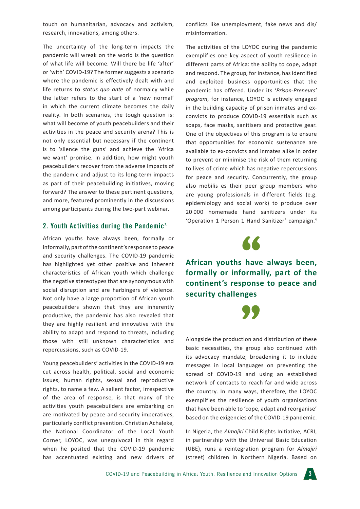touch on humanitarian, advocacy and activism, research, innovations, among others.

The uncertainty of the long-term impacts the pandemic will wreak on the world is the question of what life will become. Will there be life 'after' or 'with' COVID-19? The former suggests a scenario where the pandemic is effectively dealt with and life returns to *status quo ante* of normalcy while the latter refers to the start of a 'new normal' in which the current climate becomes the daily reality. In both scenarios, the tough question is: what will become of youth peacebuilders and their activities in the peace and security arena? This is not only essential but necessary if the continent is to 'silence the guns' and achieve the 'Africa we want' promise. In addition, how might youth peacebuilders recover from the adverse impacts of the pandemic and adjust to its long-term impacts as part of their peacebuilding initiatives, moving forward? The answer to these pertinent questions, and more, featured prominently in the discussions among participants during the two-part webinar.

## **2. Youth Activities during the Pandemic**<sup>3</sup>

African youths have always been, formally or informally, part of the continent's response to peace and security challenges. The COVID-19 pandemic has highlighted yet other positive and inherent characteristics of African youth which challenge the negative stereotypes that are synonymous with social disruption and are harbingers of violence. Not only have a large proportion of African youth peacebuilders shown that they are inherently productive, the pandemic has also revealed that they are highly resilient and innovative with the ability to adapt and respond to threats, including those with still unknown characteristics and repercussions, such as COVID-19.

Young peacebuilders' activities in the COVID-19 era cut across health, political, social and economic issues, human rights, sexual and reproductive rights, to name a few. A salient factor, irrespective of the area of response, is that many of the activities youth peacebuilders are embarking on are motivated by peace and security imperatives, particularly conflict prevention. Christian Achaleke, the National Coordinator of the Local Youth Corner, LOYOC, was unequivocal in this regard when he posited that the COVID-19 pandemic has accentuated existing and new drivers of conflicts like unemployment, fake news and dis/ misinformation.

The activities of the LOYOC during the pandemic exemplifies one key aspect of youth resilience in different parts of Africa: the ability to cope, adapt and respond. The group, for instance, has identified and exploited business opportunities that the pandemic has offered. Under its '*Prison-Preneurs' program*, for instance, LOYOC is actively engaged in the building capacity of prison inmates and exconvicts to produce COVID-19 essentials such as soaps, face masks, sanitisers and protective gear. One of the objectives of this program is to ensure that opportunities for economic sustenance are available to ex-convicts and inmates alike in order to prevent or minimise the risk of them returning to lives of crime which has negative repercussions for peace and security. Concurrently, the group also mobilis es their peer group members who are young professionals in different fields (e.g. epidemiology and social work) to produce over 20 000 homemade hand sanitizers under its 'Operation 1 Person 1 Hand Sanitizer' campaign.4



**African youths have always been, formally or informally, part of the continent's response to peace and security challenges**



Alongside the production and distribution of these basic necessities, the group also continued with its advocacy mandate; broadening it to include messages in local languages on preventing the spread of COVID-19 and using an established network of contacts to reach far and wide across the country. In many ways, therefore, the LOYOC exemplifies the resilience of youth organisations that have been able to 'cope, adapt and reorganise' based on the exigencies of the COVID-19 pandemic.

In Nigeria, the *Almajiri* Child Rights Initiative, ACRI, in partnership with the Universal Basic Education (UBE), runs a reintegration program for *Almajiri* (street) children in Northern Nigeria. Based on

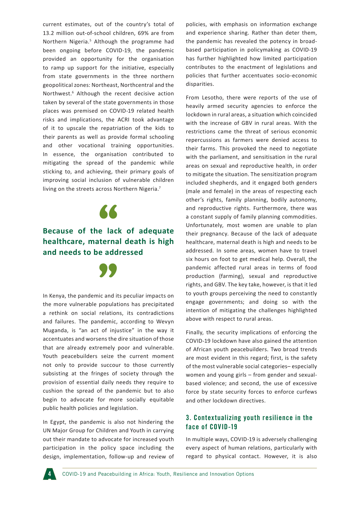current estimates, out of the country's total of 13.2 million out-of-school children, 69% are from Northern Nigeria.<sup>5</sup> Although the programme had been ongoing before COVID-19, the pandemic provided an opportunity for the organisation to ramp up support for the initiative, especially from state governments in the three northern geopolitical zones: Northeast, Northcentral and the Northwest.<sup>6</sup> Although the recent decisive action taken by several of the state governments in those places was premised on COVID-19 related health risks and implications, the ACRI took advantage of it to upscale the repatriation of the kids to their parents as well as provide formal schooling and other vocational training opportunities. In essence, the organisation contributed to mitigating the spread of the pandemic while sticking to, and achieving, their primary goals of improving social inclusion of vulnerable children living on the streets across Northern Nigeria.<sup>7</sup>



# **Because of the lack of adequate healthcare, maternal death is high and needs to be addressed**



In Kenya, the pandemic and its peculiar impacts on the more vulnerable populations has precipitated a rethink on social relations, its contradictions and failures. The pandemic, according to Wevyn Muganda, is "an act of injustice" in the way it accentuates and worsens the dire situation of those that are already extremely poor and vulnerable. Youth peacebuilders seize the current moment not only to provide succour to those currently subsisting at the fringes of society through the provision of essential daily needs they require to cushion the spread of the pandemic but to also begin to advocate for more socially equitable public health policies and legislation.

In Egypt, the pandemic is also not hindering the UN Major Group for Children and Youth in carrying out their mandate to advocate for increased youth participation in the policy space including the design, implementation, follow-up and review of policies, with emphasis on information exchange and experience sharing. Rather than deter them, the pandemic has revealed the potency in broadbased participation in policymaking as COVID-19 has further highlighted how limited participation contributes to the enactment of legislations and policies that further accentuates socio-economic disparities.

From Lesotho, there were reports of the use of heavily armed security agencies to enforce the lockdown in rural areas, a situation which coincided with the increase of GBV in rural areas. With the restrictions came the threat of serious economic repercussions as farmers were denied access to their farms. This provoked the need to negotiate with the parliament, and sensitisation in the rural areas on sexual and reproductive health, in order to mitigate the situation. The sensitization program included shepherds, and it engaged both genders (male and female) in the areas of respecting each other's rights, family planning, bodily autonomy, and reproductive rights. Furthermore, there was a constant supply of family planning commodities. Unfortunately, most women are unable to plan their pregnancy. Because of the lack of adequate healthcare, maternal death is high and needs to be addressed. In some areas, women have to travel six hours on foot to get medical help. Overall, the pandemic affected rural areas in terms of food production (farming), sexual and reproductive rights, and GBV. The key take, however, is that it led to youth groups perceiving the need to constantly engage governments; and doing so with the intention of mitigating the challenges highlighted above with respect to rural areas.

Finally, the security implications of enforcing the COVID-19 lockdown have also gained the attention of African youth peacebuilders. Two broad trends are most evident in this regard; first, is the safety of the most vulnerable social categories– especially women and young girls – from gender and sexualbased violence; and second, the use of excessive force by state security forces to enforce curfews and other lockdown directives.

# **3. Contextualizing youth resilience in the face of COVID-19**

In multiple ways, COVID-19 is adversely challenging every aspect of human relations, particularly with regard to physical contact. However, it is also

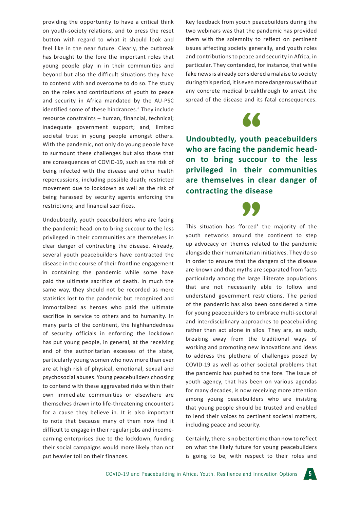providing the opportunity to have a critical think on youth-society relations, and to press the reset button with regard to what it should look and feel like in the near future. Clearly, the outbreak has brought to the fore the important roles that young people play in in their communities and beyond but also the difficult situations they have to contend with and overcome to do so. The study on the roles and contributions of youth to peace and security in Africa mandated by the AU-PSC identified some of these hindrances.<sup>8</sup> They include resource constraints – human, financial, technical; inadequate government support; and, limited societal trust in young people amongst others. With the pandemic, not only do young people have to surmount these challenges but also those that are consequences of COVID-19, such as the risk of being infected with the disease and other health repercussions, including possible death; restricted movement due to lockdown as well as the risk of being harassed by security agents enforcing the restrictions; and financial sacrifices.

Undoubtedly, youth peacebuilders who are facing the pandemic head-on to bring succour to the less privileged in their communities are themselves in clear danger of contracting the disease. Already, several youth peacebuilders have contracted the disease in the course of their frontline engagement in containing the pandemic while some have paid the ultimate sacrifice of death. In much the same way, they should not be recorded as mere statistics lost to the pandemic but recognized and immortalized as heroes who paid the ultimate sacrifice in service to others and to humanity. In many parts of the continent, the highhandedness of security officials in enforcing the lockdown has put young people, in general, at the receiving end of the authoritarian excesses of the state, particularly young women who now more than ever are at high risk of physical, emotional, sexual and psychosocial abuses. Young peacebuilders choosing to contend with these aggravated risks within their own immediate communities or elsewhere are themselves drawn into life-threatening encounters for a cause they believe in. It is also important to note that because many of them now find it difficult to engage in their regular jobs and incomeearning enterprises due to the lockdown, funding their social campaigns would more likely than not put heavier toll on their finances.

Key feedback from youth peacebuilders during the two webinars was that the pandemic has provided them with the solemnity to reflect on pertinent issues affecting society generally, and youth roles and contributions to peace and security in Africa, in particular. They contended, for instance, that while fake news is already considered a malaise to society during this period, it is even more dangerous without any concrete medical breakthrough to arrest the spread of the disease and its fatal consequences.



**Undoubtedly, youth peacebuilders who are facing the pandemic headon to bring succour to the less privileged in their communities are themselves in clear danger of contracting the disease**

This situation has 'forced' the majority of the youth networks around the continent to step up advocacy on themes related to the pandemic alongside their humanitarian initiatives. They do so in order to ensure that the dangers of the disease are known and that myths are separated from facts particularly among the large illiterate populations that are not necessarily able to follow and understand government restrictions. The period of the pandemic has also been considered a time for young peacebuilders to embrace multi-sectoral and interdisciplinary approaches to peacebuilding rather than act alone in silos. They are, as such, breaking away from the traditional ways of working and promoting new innovations and ideas to address the plethora of challenges posed by COVID-19 as well as other societal problems that the pandemic has pushed to the fore. The issue of youth agency, that has been on various agendas for many decades, is now receiving more attention among young peacebuilders who are insisting that young people should be trusted and enabled to lend their voices to pertinent societal matters, including peace and security.

Certainly, there is no better time than now to reflect on what the likely future for young peacebuilders is going to be, with respect to their roles and

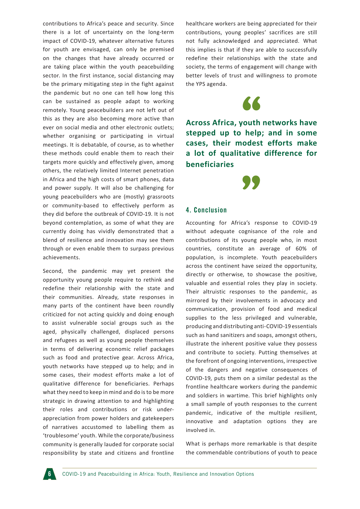contributions to Africa's peace and security. Since there is a lot of uncertainty on the long-term impact of COVID-19, whatever alternative futures for youth are envisaged, can only be premised on the changes that have already occurred or are taking place within the youth peacebuilding sector. In the first instance, social distancing may be the primary mitigating step in the fight against the pandemic but no one can tell how long this can be sustained as people adapt to working remotely. Young peacebuilders are not left out of this as they are also becoming more active than ever on social media and other electronic outlets; whether organising or participating in virtual meetings. It is debatable, of course, as to whether these methods could enable them to reach their targets more quickly and effectively given, among others, the relatively limited Internet penetration in Africa and the high costs of smart phones, data and power supply. It will also be challenging for young peacebuilders who are (mostly) grassroots or community-based to effectively perform as they did before the outbreak of COVID-19. It is not beyond contemplation, as some of what they are currently doing has vividly demonstrated that a blend of resilience and innovation may see them through or even enable them to surpass previous achievements.

Second, the pandemic may yet present the opportunity young people require to rethink and redefine their relationship with the state and their communities. Already, state responses in many parts of the continent have been roundly criticized for not acting quickly and doing enough to assist vulnerable social groups such as the aged, physically challenged, displaced persons and refugees as well as young people themselves in terms of delivering economic relief packages such as food and protective gear. Across Africa, youth networks have stepped up to help; and in some cases, their modest efforts make a lot of qualitative difference for beneficiaries. Perhaps what they need to keep in mind and do is to be more strategic in drawing attention to and highlighting their roles and contributions or risk underappreciation from power holders and gatekeepers of narratives accustomed to labelling them as 'troublesome' youth. While the corporate/business community is generally lauded for corporate social responsibility by state and citizens and frontline

healthcare workers are being appreciated for their contributions, young peoples' sacrifices are still not fully acknowledged and appreciated. What this implies is that if they are able to successfully redefine their relationships with the state and society, the terms of engagement will change with better levels of trust and willingness to promote the YPS agenda.

"

**Across Africa, youth networks have stepped up to help; and in some cases, their modest efforts make a lot of qualitative difference for beneficiaries**



## **4. Conclusion**

Accounting for Africa's response to COVID-19 without adequate cognisance of the role and contributions of its young people who, in most countries, constitute an average of 60% of population, is incomplete. Youth peacebuilders across the continent have seized the opportunity, directly or otherwise, to showcase the positive, valuable and essential roles they play in society. Their altruistic responses to the pandemic, as mirrored by their involvements in advocacy and communication, provision of food and medical supplies to the less privileged and vulnerable, producing and distributing anti-COVID-19 essentials such as hand sanitizers and soaps, amongst others, illustrate the inherent positive value they possess and contribute to society. Putting themselves at the forefront of ongoing interventions, irrespective of the dangers and negative consequences of COVID-19, puts them on a similar pedestal as the frontline healthcare workers during the pandemic and soldiers in wartime. This brief highlights only a small sample of youth responses to the current pandemic, indicative of the multiple resilient, innovative and adaptation options they are involved in.

What is perhaps more remarkable is that despite the commendable contributions of youth to peace

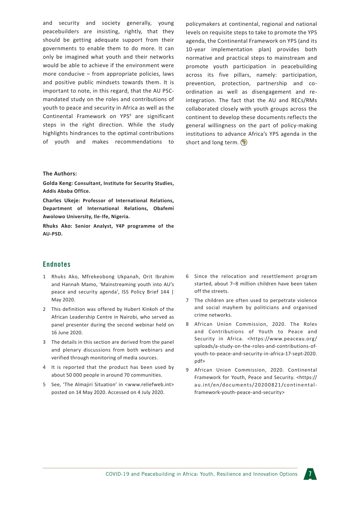and security and society generally, young peacebuilders are insisting, rightly, that they should be getting adequate support from their governments to enable them to do more. It can only be imagined what youth and their networks would be able to achieve if the environment were more conducive – from appropriate policies, laws and positive public mindsets towards them. It is important to note, in this regard, that the AU PSCmandated study on the roles and contributions of youth to peace and security in Africa as well as the Continental Framework on YPS<sup>9</sup> are significant steps in the right direction. While the study highlights hindrances to the optimal contributions of youth and makes recommendations to

#### **The Authors:**

**Golda Keng: Consultant, Institute for Security Studies, Addis Ababa Office.**

**Charles Ukeje: Professor of International Relations, Department of International Relations, Obafemi Awolowo University, Ile-Ife, Nigeria.**

**Rhuks Ako: Senior Analyst, Y4P programme of the AU-PSD.**

### **Endnotes**

- 1 Rhuks Ako, Mfrekeobong Ukpanah, Orit Ibrahim and Hannah Mamo, 'Mainstreaming youth into AU's peace and security agenda', ISS Policy Brief 144 | May 2020.
- 2 This definition was offered by Hubert Kinkoh of the African Leadership Centre in Nairobi, who served as panel presenter during the second webinar held on 16 June 2020.
- 3 The details in this section are derived from the panel and plenary discussions from both webinars and verified through monitoring of media sources.
- 4 It is reported that the product has been used by about 50 000 people in around 70 communities.
- 5 See, 'The Almajiri Situation' in <www.reliefweb.int> posted on 14 May 2020. Accessed on 4 July 2020.

policymakers at continental, regional and national levels on requisite steps to take to promote the YPS agenda, the Continental Framework on YPS (and its 10-year implementation plan) provides both normative and practical steps to mainstream and promote youth participation in peacebuilding across its five pillars, namely: participation, prevention, protection, partnership and coordination as well as disengagement and reintegration. The fact that the AU and RECs/RMs collaborated closely with youth groups across the continent to develop these documents reflects the general willingness on the part of policy-making institutions to advance Africa's YPS agenda in the short and long term.  $\bigcirc$ 

- 6 Since the relocation and resettlement program started, about 7–8 million children have been taken off the streets.
- 7 The children are often used to perpetrate violence and social mayhem by politicians and organised crime networks.
- 8 African Union Commission, 2020. The Roles and Contributions of Youth to Peace and Security in Africa. <https://www.peaceau.org/ uploads/a-study-on-the-roles-and-contributions-ofyouth-to-peace-and-security-in-africa-17-sept-2020. pdf>
- 9 African Union Commission, 2020. Continental Framework for Youth, Peace and Security. <https:// au.int/en/documents/20200821/continentalframework-youth-peace-and-security>